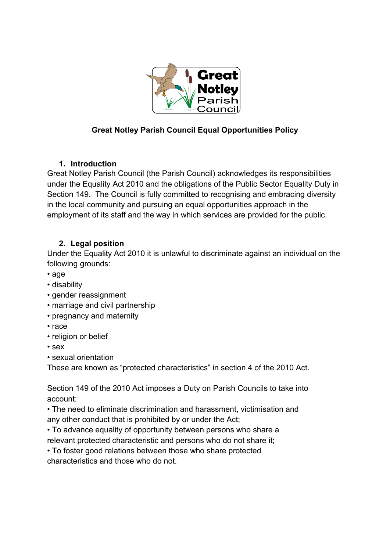

# **Great Notley Parish Council Equal Opportunities Policy**

# **1. Introduction**

Great Notley Parish Council (the Parish Council) acknowledges its responsibilities under the Equality Act 2010 and the obligations of the Public Sector Equality Duty in Section 149. The Council is fully committed to recognising and embracing diversity in the local community and pursuing an equal opportunities approach in the employment of its staff and the way in which services are provided for the public.

# **2. Legal position**

Under the Equality Act 2010 it is unlawful to discriminate against an individual on the following grounds:

- age
- disability
- gender reassignment
- marriage and civil partnership
- pregnancy and maternity
- race
- religion or belief
- sex
- sexual orientation

These are known as "protected characteristics" in section 4 of the 2010 Act.

Section 149 of the 2010 Act imposes a Duty on Parish Councils to take into account:

• The need to eliminate discrimination and harassment, victimisation and any other conduct that is prohibited by or under the Act;

• To advance equality of opportunity between persons who share a relevant protected characteristic and persons who do not share it;

• To foster good relations between those who share protected characteristics and those who do not.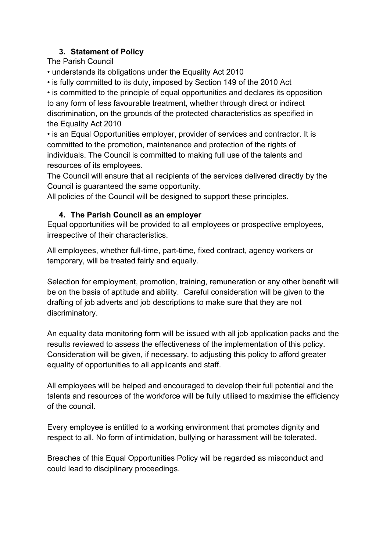# **3. Statement of Policy**

The Parish Council

• understands its obligations under the Equality Act 2010

• is fully committed to its duty**,** imposed by Section 149 of the 2010 Act

• is committed to the principle of equal opportunities and declares its opposition to any form of less favourable treatment, whether through direct or indirect discrimination, on the grounds of the protected characteristics as specified in the Equality Act 2010

• is an Equal Opportunities employer, provider of services and contractor. It is committed to the promotion, maintenance and protection of the rights of individuals. The Council is committed to making full use of the talents and resources of its employees.

The Council will ensure that all recipients of the services delivered directly by the Council is guaranteed the same opportunity.

All policies of the Council will be designed to support these principles.

### **4. The Parish Council as an employer**

Equal opportunities will be provided to all employees or prospective employees, irrespective of their characteristics.

All employees, whether full-time, part-time, fixed contract, agency workers or temporary, will be treated fairly and equally.

Selection for employment, promotion, training, remuneration or any other benefit will be on the basis of aptitude and ability. Careful consideration will be given to the drafting of job adverts and job descriptions to make sure that they are not discriminatory.

An equality data monitoring form will be issued with all job application packs and the results reviewed to assess the effectiveness of the implementation of this policy. Consideration will be given, if necessary, to adjusting this policy to afford greater equality of opportunities to all applicants and staff.

All employees will be helped and encouraged to develop their full potential and the talents and resources of the workforce will be fully utilised to maximise the efficiency of the council.

Every employee is entitled to a working environment that promotes dignity and respect to all. No form of intimidation, bullying or harassment will be tolerated.

Breaches of this Equal Opportunities Policy will be regarded as misconduct and could lead to disciplinary proceedings.